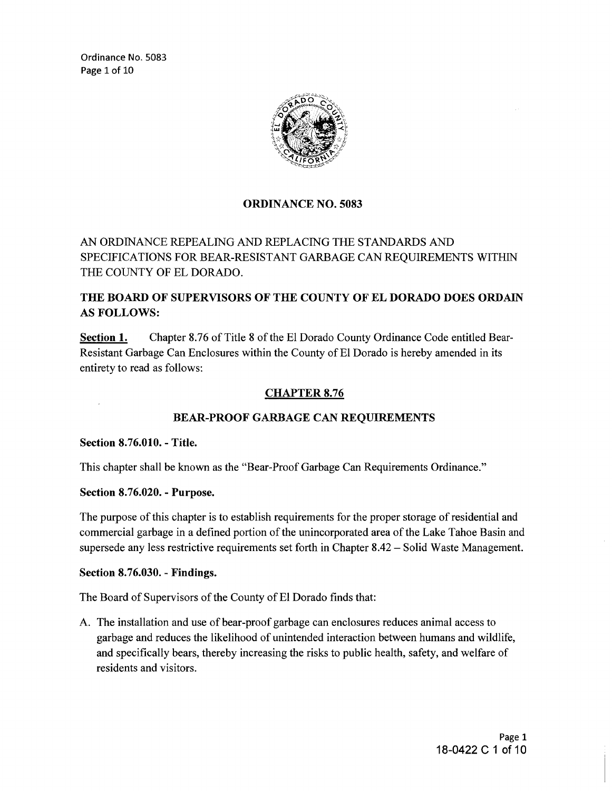Ordinance No. 5083 Page 1 of 10



### ORDINANCE NO. 5083

AN ORDINANCE REPEALING AND REPLACING THE STANDARDS AND SPECIFICATIONS FOR BEAR-RESISTANT GARBAGE CAN REQUIREMENTS WITHIN THE COUNTY OF EL DORADO.

# THE BOARD OF SUPERVISORS OF THE COUNTY OF EL DORADO DOES ORDAIN AS FOLLOWS:

Section 1. Chapter 8.76 of Title 8 of the El Dorado County Ordinance Code entitled Bear-Resistant Garbage Can Enclosures within the County of El Dorado is hereby amended in its entirety to read as follows:

### CHAPTER 8.76

### BEAR-PROOF GARBAGE CAN REQUIREMENTS

Section 8.76.010. - Title.

This chapter shall be known as the "Bear-Proof Garbage Can Requirements Ordinance."

Section 8.76.020. - Purpose.

The purpose of this chapter is to establish requirements for the proper storage of residential and commercial garbage in a defined portion of the unincorporated area of the Lake Tahoe Basin and supersede any less restrictive requirements set forth in Chapter 8.42 - Solid Waste Management.

#### Section 8.76.030. - Findings.

The Board of Supervisors of the County of El Dorado finds that:

A. The installation and use of bear-proof garbage can enclosures reduces animal access to garbage and reduces the likelihood of unintended interaction between humans and wildlife, and specifically bears, thereby increasing the risks to public health, safety, and welfare of residents and visitors.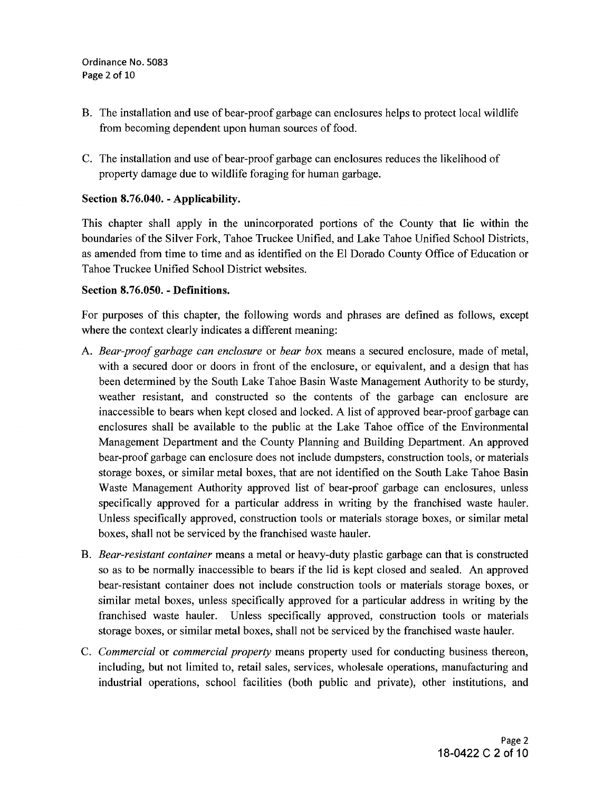- B. The installation and use of bear-proof garbage can enclosures helps to protect local wildlife from becoming dependent upon human sources of food.
- C. The installation and use of bear-proof garbage can enclosures reduces the likelihood of property damage due to wildlife foraging for human garbage.

# **Section 8.76.040. - Applicability.**

This chapter shall apply in the unincorporated portions of the County that lie within the boundaries of the Silver Fork, Tahoe Truckee Unified, and Lake Tahoe Unified School Districts, as amended from time to time and as identified on the El Dorado County Office of Education or Tahoe Truckee Unified School District websites.

# **Section 8.76.050. - Definitions.**

For purposes of this chapter, the following words and phrases are defined as follows, except where the context clearly indicates a different meaning:

- A. *Bear-proof garbage can enclosure* or *bear box* means a secured enclosure, made of metal, with a secured door or doors in front of the enclosure, or equivalent, and a design that has been determined by the South Lake Tahoe Basin Waste Management Authority to be sturdy, weather resistant, and constructed so the contents of the garbage can enclosure are inaccessible to bears when kept closed and locked. A list of approved bear-proof garbage can enclosures shall be available to the public at the Lake Tahoe office of the Environmental Management Department and the County Planning and Building Department. An approved bear-proof garbage can enclosure does not include dumpsters, construction tools, or materials storage boxes, or similar metal boxes, that are not identified on the South Lake Tahoe Basin Waste Management Authority approved list of bear-proof garbage can enclosures, unless specifically approved for a particular address in writing by the franchised waste hauler. Unless specifically approved, construction tools or materials storage boxes, or similar metal boxes, shall not be serviced by the franchised waste hauler.
- B. *Bear-resistant container* means a metal or heavy-duty plastic garbage can that is constructed so as to be normally inaccessible to bears if the lid is kept closed and sealed. An approved bear-resistant container does not include construction tools or materials storage boxes, or similar metal boxes, unless specifically approved for a particular address in writing by the franchised waste hauler. Unless specifically approved, construction tools or materials storage boxes, or similar metal boxes, shall not be serviced by the franchised waste hauler.
- C. *Commercial* or *commercial property* means property used for conducting business thereon, including, but not limited to, retail sales, services, wholesale operations, manufacturing and industrial operations, school facilities (both public and private), other institutions, and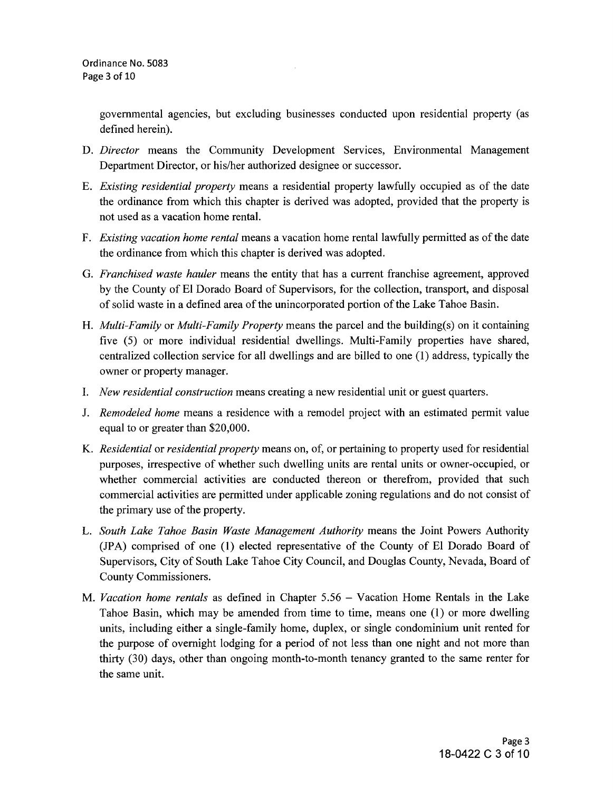governmental agencies, but excluding businesses conducted upon residential property (as defined herein).

- D. *Director* means the Community Development Services, Environmental Management Department Director, or his/her authorized designee or successor.
- E. *Existing residential property* means a residential property lawfully occupied as of the date the ordinance from which this chapter is derived was adopted, provided that the property is not used as a vacation home rental.
- F. *Existing vacation home rental* means a vacation home rental lawfully permitted as of the date the ordinance from which this chapter is derived was adopted.
- G. *Franchised waste hauler* means the entity that has a current franchise agreement, approved by the County of El Dorado Board of Supervisors, for the collection, transport, and disposal of solid waste in a defined area of the unincorporated portion of the Lake Tahoe Basin.
- H. *Multi-Family* or *Multi-Family Property* means the parcel and the building(s) on it containing five (5) or more individual residential dwellings. Multi-Family properties have shared, centralized collection service for all dwellings and are billed to one (1) address, typically the owner or property manager.
- I. *New residential construction* means creating a new residential unit or guest quarters.
- J. *Remodeled home* means a residence with a remodel project with an estimated permit value equal to or greater than \$20,000.
- K. *Residential* or *residential property* means on, of, or pertaining to property used for residential purposes, irrespective of whether such dwelling units are rental units or owner-occupied, or whether commercial activities are conducted thereon or therefrom, provided that such commercial activities are permitted under applicable zoning regulations and do not consist of the primary use of the property.
- L. *South Lake Tahoe Basin Waste Management Authority* means the Joint Powers Authority (JPA) comprised of one (1) elected representative of the County of El Dorado Board of Supervisors, City of South Lake Tahoe City Council, and Douglas County, Nevada, Board of County Commissioners.
- M. *Vacation home rentals* as defined in Chapter 5.56 Vacation Home Rentals in the Lake Tahoe Basin, which may be amended from time to time, means one (1) or more dwelling units, including either a single-family home, duplex, or single condominium unit rented for the purpose of overnight lodging for a period of not less than one night and not more than thirty (30) days, other than ongoing month-to-month tenancy granted to the same renter for the same unit.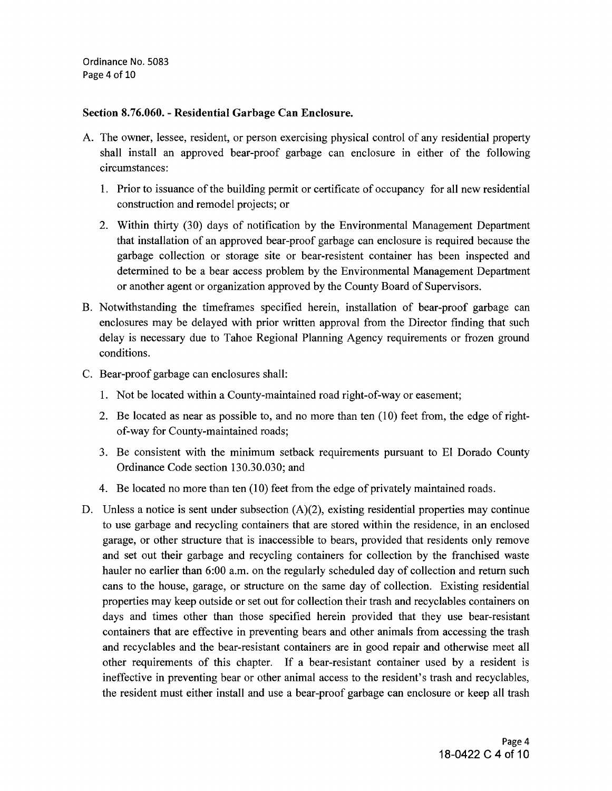Ordinance No. 5083 Page 4 of 10

### Section 8.76.060. - Residential Garbage Can Enclosure.

- A. The owner, lessee, resident, or person exercising physical control of any residential property shall install an approved bear-proof garbage can enclosure in either of the following circumstances:
	- 1. Prior to issuance of the building permit or certificate of occupancy for all new residential construction and remodel projects; or
	- 2. Within thirty (30) days of notification by the Environmental Management Department that installation of an approved bear-proof garbage can enclosure is required because the garbage collection or storage site or bear-resistent container has been inspected and determined to be a bear access problem by the Environmental Management Department or another agent or organization approved by the County Board of Supervisors.
- B. Notwithstanding the timeframes specified herein, installation of bear-proof garbage can enclosures may be delayed with prior written approval from the Director finding that such delay is necessary due to Tahoe Regional Planning Agency requirements or frozen ground conditions.
- C. Bear-proof garbage can enclosures shall:
	- 1. Not be located within a County-maintained road right-of-way or easement;
	- 2. Be located as near as possible to, and no more than ten (10) feet from, the edge of rightof-way for County-maintained roads;
	- 3. Be consistent with the minimum setback requirements pursuant to El Dorado County Ordinance Code section 130.30.030; and
	- 4. Be located no more than ten (10) feet from the edge of privately maintained roads.
- D. Unless a notice is sent under subsection (A)(2), existing residential properties may continue to use garbage and recycling containers that are stored within the residence, in an enclosed garage, or other structure that is inaccessible to bears, provided that residents only remove and set out their garbage and recycling containers for collection by the franchised waste hauler no earlier than 6:00 a.m. on the regularly scheduled day of collection and return such cans to the house, garage, or structure on the same day of collection. Existing residential properties may keep outside or set out for collection their trash and recyclables containers on days and times other than those specified herein provided that they use bear-resistant containers that are effective in preventing bears and other animals from accessing the trash and recyclables and the bear-resistant containers are in good repair and otherwise meet all other requirements of this chapter. If a bear-resistant container used by a resident is ineffective in preventing bear or other animal access to the resident's trash and recyclables, the resident must either install and use a bear-proof garbage can enclosure or keep all trash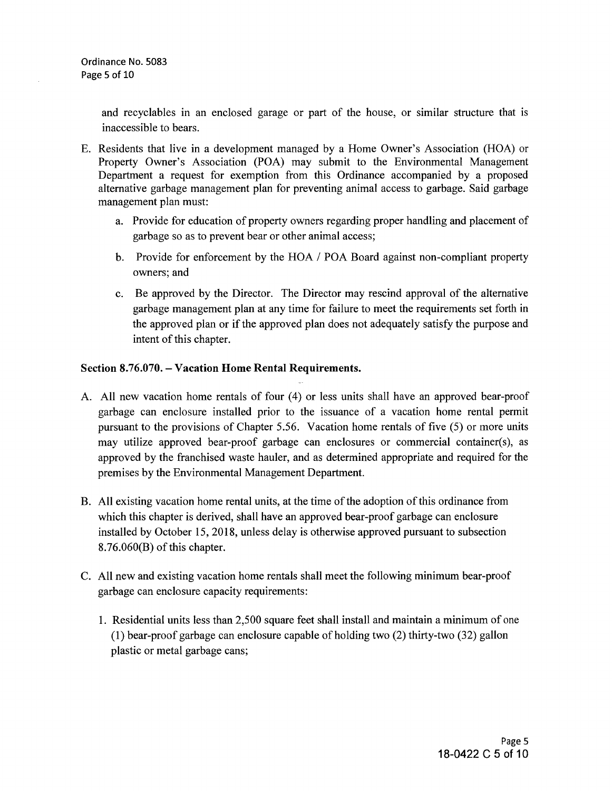and recyclables in an enclosed garage or part of the house, or similar structure that is inaccessible to bears.

- E. Residents that live in a development managed by a Home Owner's Association (HOA) or Property Owner's Association (POA) may submit to the Environmental Management Department a request for exemption from this Ordinance accompanied by a proposed alternative garbage management plan for preventing animal access to garbage. Said garbage management plan must:
	- a. Provide for education of property owners regarding proper handling and placement of garbage so as to prevent bear or other animal access;
	- b. Provide for enforcement by the HOA / POA Board against non-compliant property owners; and
	- c. Be approved by the Director. The Director may rescind approval of the alternative garbage management plan at any time for failure to meet the requirements set forth in the approved plan or if the approved plan does not adequately satisfy the purpose and intent of this chapter.

# **Section 8.76.070. - Vacation Home Rental Requirements.**

- A. All new vacation home rentals of four (4) or less units shall have an approved bear-proof garbage can enclosure installed prior to the issuance of a vacation home rental permit pursuant to the provisions of Chapter 5.56. Vacation home rentals of five (5) or more units may utilize approved bear-proof garbage can enclosures or commercial container(s), as approved by the franchised waste hauler, and as determined appropriate and required for the premises by the Environmental Management Department.
- B. All existing vacation home rental units, at the time of the adoption of this ordinance from which this chapter is derived, shall have an approved bear-proof garbage can enclosure installed by October 15, 2018, unless delay is otherwise approved pursuant to subsection 8.76.060(B) of this chapter.
- C. All new and existing vacation home rentals shall meet the following minimum bear-proof garbage can enclosure capacity requirements:
	- 1. Residential units less than 2,500 square feet shall install and maintain a minimum of one (1) bear-proof garbage can enclosure capable of holding two (2) thirty-two (32) gallon plastic or metal garbage cans;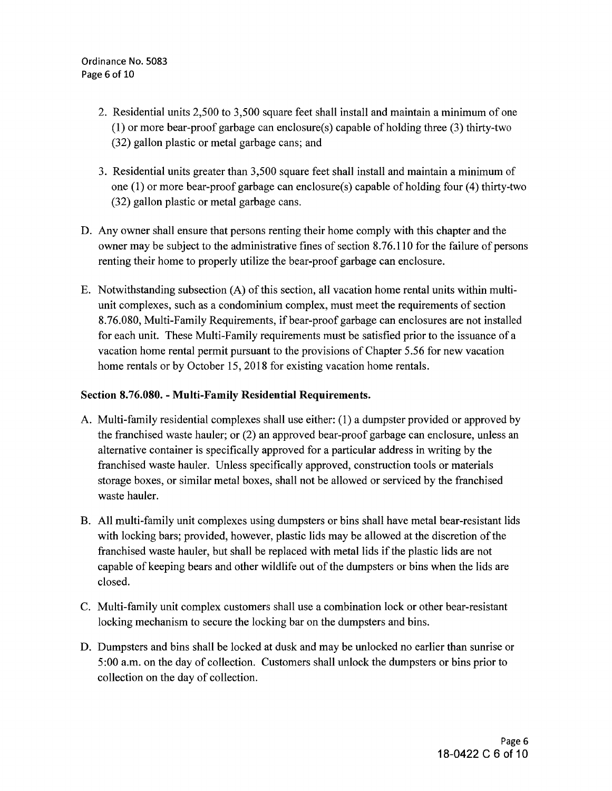- 2. Residential units 2,500 to 3,500 square feet shall install and maintain a minimum of one (1) or more bear-proof garbage can enclosure(s) capable of holding three (3) thirty-two (32) gallon plastic or metal garbage cans; and
- 3. Residential units greater than 3,500 square feet shall install and maintain a minimum of one  $(1)$  or more bear-proof garbage can enclosure(s) capable of holding four (4) thirty-two (32) gallon plastic or metal garbage cans.
- D. Any owner shall ensure that persons renting their home comply with this chapter and the owner may be subject to the administrative fines of section 8.76.110 for the failure of persons renting their home to properly utilize the bear-proof garbage can enclosure.
- E. Notwithstanding subsection (A) of this section, all vacation home rental units within multiunit complexes, such as a condominium complex, must meet the requirements of section 8.76.080, Multi-Family Requirements, if bear-proof garbage can enclosures are not installed for each unit. These Multi-Family requirements must be satisfied prior to the issuance of a vacation home rental permit pursuant to the provisions of Chapter 5.56 for new vacation home rentals or by October 15, 2018 for existing vacation home rentals.

### **Section 8.76.080. - Multi-Family Residential Requirements.**

- A. Multi-family residential complexes shall use either: (1) a dumpster provided or approved by the franchised waste hauler; or (2) an approved bear-proof garbage can enclosure, unless an alternative container is specifically approved for a particular address in writing by the franchised waste hauler. Unless specifically approved, construction tools or materials storage boxes, or similar metal boxes, shall not be allowed or serviced by the franchised waste hauler.
- B. All multi-family unit complexes using dumpsters or bins shall have metal bear-resistant lids with locking bars; provided, however, plastic lids may be allowed at the discretion of the franchised waste hauler, but shall be replaced with metal lids if the plastic lids are not capable of keeping bears and other wildlife out of the dumpsters or bins when the lids are closed.
- C. Multi-family unit complex customers shall use a combination lock or other bear-resistant locking mechanism to secure the locking bar on the dumpsters and bins.
- D. Dumpsters and bins shall be locked at dusk and may be unlocked no earlier than sunrise or 5 :00 a.m. on the day of collection. Customers shall unlock the dumpsters or bins prior to collection on the day of collection.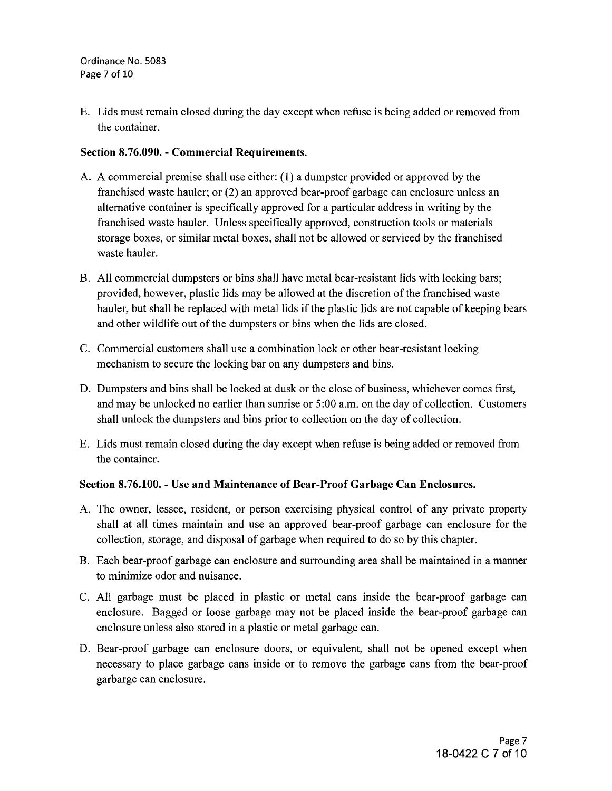E. Lids must remain closed during the day except when refuse is being added or removed from the container.

# **Section 8.76.090. - Commercial Requirements.**

- A. A commercial premise shall use either: (1) a dumpster provided or approved by the franchised waste hauler; or (2) an approved bear-proof garbage can enclosure unless an alternative container is specifically approved for a particular address in writing by the franchised waste hauler. Unless specifically approved, construction tools or materials storage boxes, or similar metal boxes, shall not be allowed or serviced by the franchised waste hauler.
- B. All commercial dumpsters or bins shall have metal bear-resistant lids with locking bars; provided, however, plastic lids may be allowed at the discretion of the franchised waste hauler, but shall be replaced with metal lids if the plastic lids are not capable of keeping bears and other wildlife out of the dumpsters or bins when the lids are closed.
- C. Commercial customers shall use a combination lock or other bear-resistant locking mechanism to secure the locking bar on any dumpsters and bins.
- D. Dumpsters and bins shall be locked at dusk or the close of business, whichever comes first, and may be unlocked no earlier than sunrise or 5 :00 a.m. on the day of collection. Customers shall unlock the dumpsters and bins prior to collection on the day of collection.
- E. Lids must remain closed during the day except when refuse is being added or removed from the container.

### **Section 8. 76.100.** - Use **and Maintenance of Bear-Proof Garbage Can Enclosures.**

- A. The owner, lessee, resident, or person exercising physical control of any private property shall at all times maintain and use an approved bear-proof garbage can enclosure for the collection, storage, and disposal of garbage when required to do so by this chapter.
- B. Each bear-proof garbage can enclosure and surrounding area shall be maintained in a manner to minimize odor and nuisance.
- C. All garbage must be placed in plastic or metal cans inside the bear-proof garbage can enclosure. Bagged or loose garbage may not be placed inside the bear-proof garbage can enclosure unless also stored in a plastic or metal garbage can.
- D. Bear-proof garbage can enclosure doors, or equivalent, shall not be opened except when necessary to place garbage cans inside or to remove the garbage cans from the bear-proof garbarge can enclosure.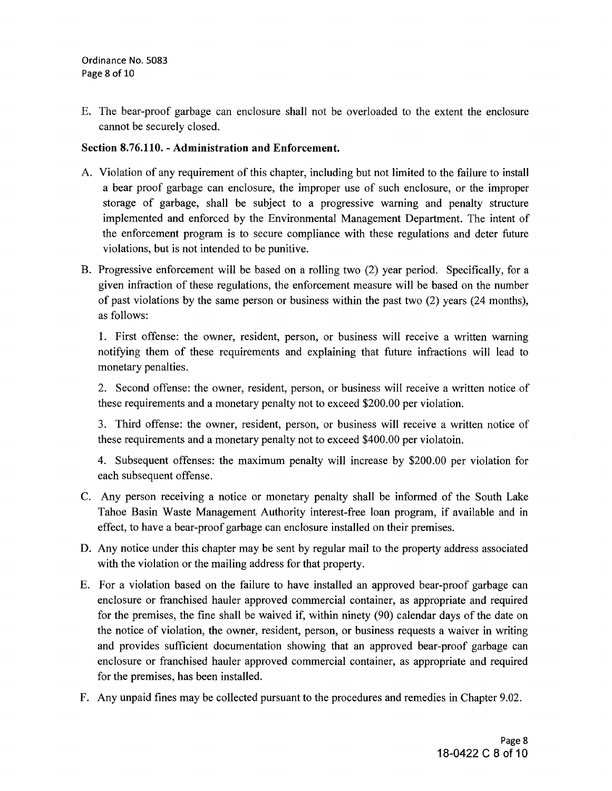E. The bear-proof garbage can enclosure shall not be overloaded to the extent the enclosure cannot be securely closed.

### Section 8.76.110. - Administration and Enforcement.

- A. Violation of any requirement of this chapter, including but not limited to the failure to install a bear proof garbage can enclosure, the improper use of such enclosure, or the improper storage of garbage, shall be subject to a progressive warning and penalty structure implemented and enforced by the Environmental Management Department. The intent of the enforcement program is to secure compliance with these regulations and deter future violations, but is not intended to be punitive.
- B. Progressive enforcement will be based on a rolling two (2) year period. Specifically, for a given infraction of these regulations, the enforcement measure will be based on the number of past violations by the same person or business within the past two (2) years (24 months), as follows:

1. First offense: the owner, resident, person, or business will receive a written warning notifying them of these requirements and explaining that future infractions will lead to monetary penalties.

2. Second offense: the owner, resident, person, or business will receive a written notice of these requirements and a monetary penalty not to exceed \$200.00 per violation.

3. Third offense: the owner, resident, person, or business will receive a written notice of these requirements and a monetary penalty not to exceed \$400.00 per violatoin.

4. Subsequent offenses: the maximum penalty will increase by \$200.00 per violation for each subsequent offense.

- C. Any person receiving a notice or monetary penalty shall be informed of the South Lake Tahoe Basin Waste Management Authority interest-free loan program, if available and in effect, to have a bear-proof garbage can enclosure installed on their premises.
- D. Any notice under this chapter may be sent by regular mail to the property address associated with the violation or the mailing address for that property.
- E. For a violation based on the failure to have installed an approved bear-proof garbage can enclosure or franchised hauler approved commercial container, as appropriate and required for the premises, the fine shall be waived if, within ninety (90) calendar days of the date on the notice of violation, the owner, resident, person, or business requests a waiver in writing and provides sufficient documentation showing that an approved bear-proof garbage can enclosure or franchised hauler approved commercial container, as appropriate and required for the premises, has been installed.
- F. Any unpaid fines may be collected pursuant to the procedures and remedies in Chapter 9.02.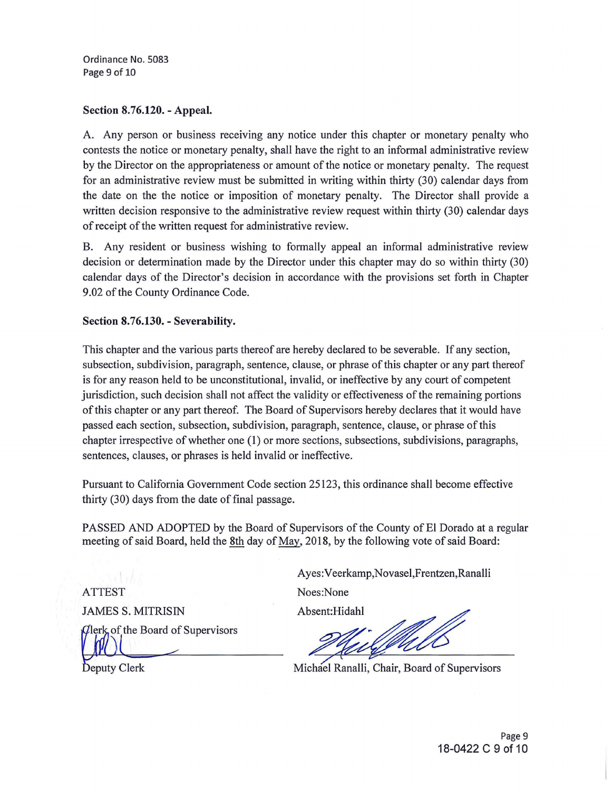Ordinance No. 5083 Page 9 of 10

#### Section 8.76.120. - Appeal.

A. Any person or business receiving any notice under this chapter or monetary penalty who contests the notice or monetary penalty, shall have the right to an informal administrative review by the Director on the appropriateness or amount of the notice or monetary penalty. The request for an administrative review must be submitted in writing within thirty (30) calendar days from the date on the the notice or imposition of monetary penalty. The Director shall provide a written decision responsive to the administrative review request within thirty (30) calendar days of receipt of the written request for administrative review.

B. Any resident or business wishing to formally appeal an informal administrative review decision or determination made by the Director under this chapter may do so within thirty (30) calendar days of the Director's decision in accordance with the provisions set forth in Chapter 9 .02 of the County Ordinance Code.

### Section 8.76.130. - Severability.

This chapter and the various parts thereof are hereby declared to be severable. If any section, subsection, subdivision, paragraph, sentence, clause, or phrase of this chapter or any part thereof is for any reason held to be unconstitutional, invalid, or ineffective by any court of competent jurisdiction, such decision shall not affect the validity or effectiveness of the remaining portions of this chapter or any part thereof. The Board of Supervisors hereby declares that it would have passed each section, subsection, subdivision, paragraph, sentence, clause, or phrase of this chapter irrespective of whether one (I) or more sections, subsections, subdivisions, paragraphs, sentences, clauses, or phrases is held invalid or ineffective.

Pursuant to California Government Code section 25123, this ordinance shall become effective thirty (30) days from the date of final passage.

PASSED AND ADOPTED by the Board of Supervisors of the County of El Dorado at a regular meeting of said Board, held the 8th day of May, 2018, by the following vote of said Board:

ATTEST JAMES S. MITRISIN Clerk of the Board of Supervisors

Deputy Clerk

Ayes: Veerkamp, Novasel, Frentzen, Ranalli Noes:None

Absent:Hidahl

ffulls

Michael Ranalli, Chair, Board of Supervisors